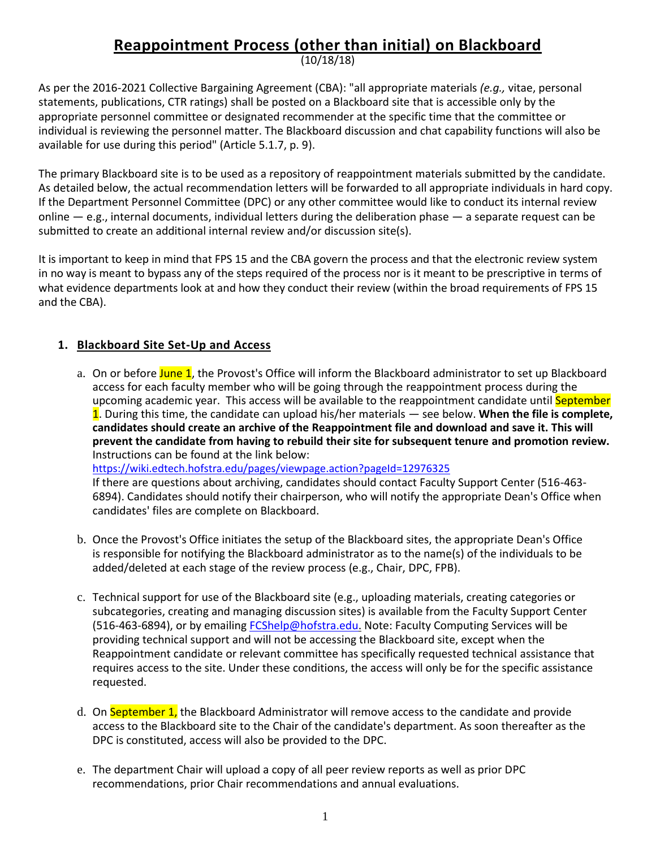# **Reappointment Process (other than initial) on Blackboard**

(10/18/18)

As per the 2016-2021 Collective Bargaining Agreement (CBA): "all appropriate materials *(e.g.,* vitae, personal statements, publications, CTR ratings) shall be posted on a Blackboard site that is accessible only by the appropriate personnel committee or designated recommender at the specific time that the committee or individual is reviewing the personnel matter. The Blackboard discussion and chat capability functions will also be available for use during this period" (Article 5.1.7, p. 9).

The primary Blackboard site is to be used as a repository of reappointment materials submitted by the candidate. As detailed below, the actual recommendation letters will be forwarded to all appropriate individuals in hard copy. If the Department Personnel Committee (DPC) or any other committee would like to conduct its internal review online  $-$  e.g., internal documents, individual letters during the deliberation phase  $-$  a separate request can be submitted to create an additional internal review and/or discussion site(s).

It is important to keep in mind that FPS 15 and the CBA govern the process and that the electronic review system in no way is meant to bypass any of the steps required of the process nor is it meant to be prescriptive in terms of what evidence departments look at and how they conduct their review (within the broad requirements of FPS 15 and the CBA).

## **1. Blackboard Site Set-Up and Access**

a. On or before June 1, the Provost's Office will inform the Blackboard administrator to set up Blackboard access for each faculty member who will be going through the reappointment process during the upcoming academic year. This access will be available to the reappointment candidate until September 1. During this time, the candidate can upload his/her materials — see below. **When the file is complete, candidates should create an archive of the Reappointment file and download and save it. This will prevent the candidate from having to rebuild their site for subsequent tenure and promotion review.** Instructions can be found at the link below:

[https://wiki.edtech.hofstra.edu/pages/viewpage.action?pageId=12976325](https://na01.safelinks.protection.outlook.com/?url=https%3A%2F%2Fwiki.edtech.hofstra.edu%2Fpages%2Fviewpage.action%3FpageId%3D12976325&data=02%7C01%7CChristine.M.Jenkinson%40hofstra.edu%7C9b095b2c3d5f4ec0e56208d63503a39b%7Ce32fc43d7c6246d9b49fcd53ba8d9424%7C0%7C0%7C636754687078293972&sdata=PJ3lEtqfyw1aNqPADjAMEuFPPzgSNqZYtX6fMY6PPfY%3D&reserved=0)

If there are questions about archiving, candidates should contact Faculty Support Center (516-463- 6894). Candidates should notify their chairperson, who will notify the appropriate Dean's Office when candidates' files are complete on Blackboard.

- b. Once the Provost's Office initiates the setup of the Blackboard sites, the appropriate Dean's Office is responsible for notifying the Blackboard administrator as to the name(s) of the individuals to be added/deleted at each stage of the review process (e.g., Chair, DPC, FPB).
- c. Technical support for use of the Blackboard site (e.g., uploading materials, creating categories or subcategories, creating and managing discussion sites) is available from the Faculty Support Center (516-463-6894), or by emailing [FCShelp@hofstra.edu.](mailto:FCShelp@hofstra.edu) Note: Faculty Computing Services will be providing technical support and will not be accessing the Blackboard site, except when the Reappointment candidate or relevant committee has specifically requested technical assistance that requires access to the site. Under these conditions, the access will only be for the specific assistance requested.
- d. On September 1, the Blackboard Administrator will remove access to the candidate and provide access to the Blackboard site to the Chair of the candidate's department. As soon thereafter as the DPC is constituted, access will also be provided to the DPC.
- e. The department Chair will upload a copy of all peer review reports as well as prior DPC recommendations, prior Chair recommendations and annual evaluations.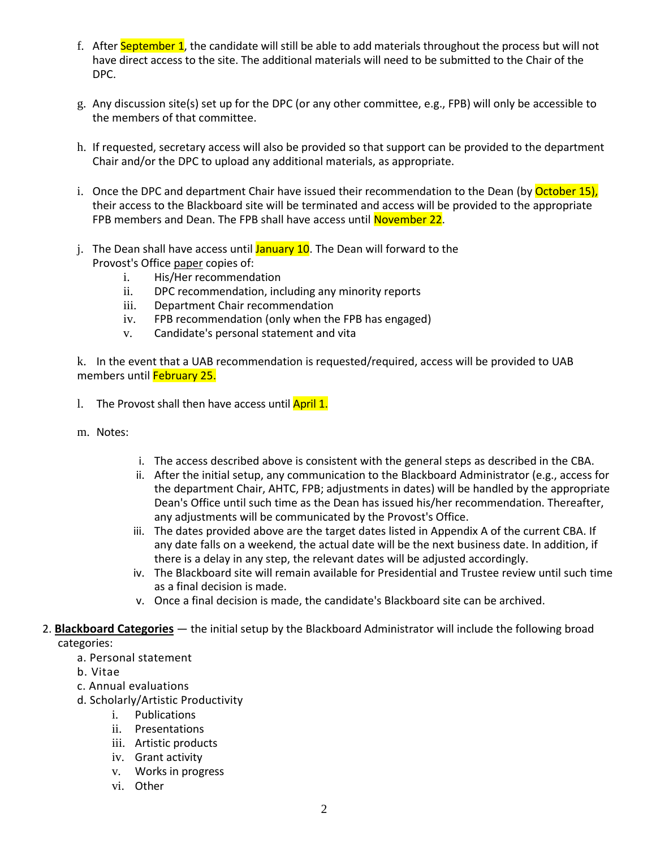- f. After September 1, the candidate will still be able to add materials throughout the process but will not have direct access to the site. The additional materials will need to be submitted to the Chair of the DPC.
- g. Any discussion site(s) set up for the DPC (or any other committee, e.g., FPB) will only be accessible to the members of that committee.
- h. If requested, secretary access will also be provided so that support can be provided to the department Chair and/or the DPC to upload any additional materials, as appropriate.
- i. Once the DPC and department Chair have issued their recommendation to the Dean (by October 15), their access to the Blackboard site will be terminated and access will be provided to the appropriate FPB members and Dean. The FPB shall have access until November 22.
- j. The Dean shall have access until  $J_{\text{anuary}}$  10. The Dean will forward to the Provost's Office paper copies of:
	- i. His/Her recommendation
	- ii. DPC recommendation, including any minority reports
	- iii. Department Chair recommendation
	- iv. FPB recommendation (only when the FPB has engaged)
	- v. Candidate's personal statement and vita

k. In the event that a UAB recommendation is requested/required, access will be provided to UAB members until February 25.

- 1. The Provost shall then have access until April 1.
- m. Notes:
- i. The access described above is consistent with the general steps as described in the CBA.
- ii. After the initial setup, any communication to the Blackboard Administrator (e.g., access for the department Chair, AHTC, FPB; adjustments in dates) will be handled by the appropriate Dean's Office until such time as the Dean has issued his/her recommendation. Thereafter, any adjustments will be communicated by the Provost's Office.
- iii. The dates provided above are the target dates listed in Appendix A of the current CBA. If any date falls on a weekend, the actual date will be the next business date. In addition, if there is a delay in any step, the relevant dates will be adjusted accordingly.
- iv. The Blackboard site will remain available for Presidential and Trustee review until such time as a final decision is made.
- v. Once a final decision is made, the candidate's Blackboard site can be archived.

#### 2. **Blackboard Categories** — the initial setup by the Blackboard Administrator will include the following broad categories:

- a. Personal statement
- b. Vitae
- c. Annual evaluations
- d. Scholarly/Artistic Productivity
	- i. Publications
	- ii. Presentations
	- iii. Artistic products
	- iv. Grant activity
	- v. Works in progress
	- vi. Other